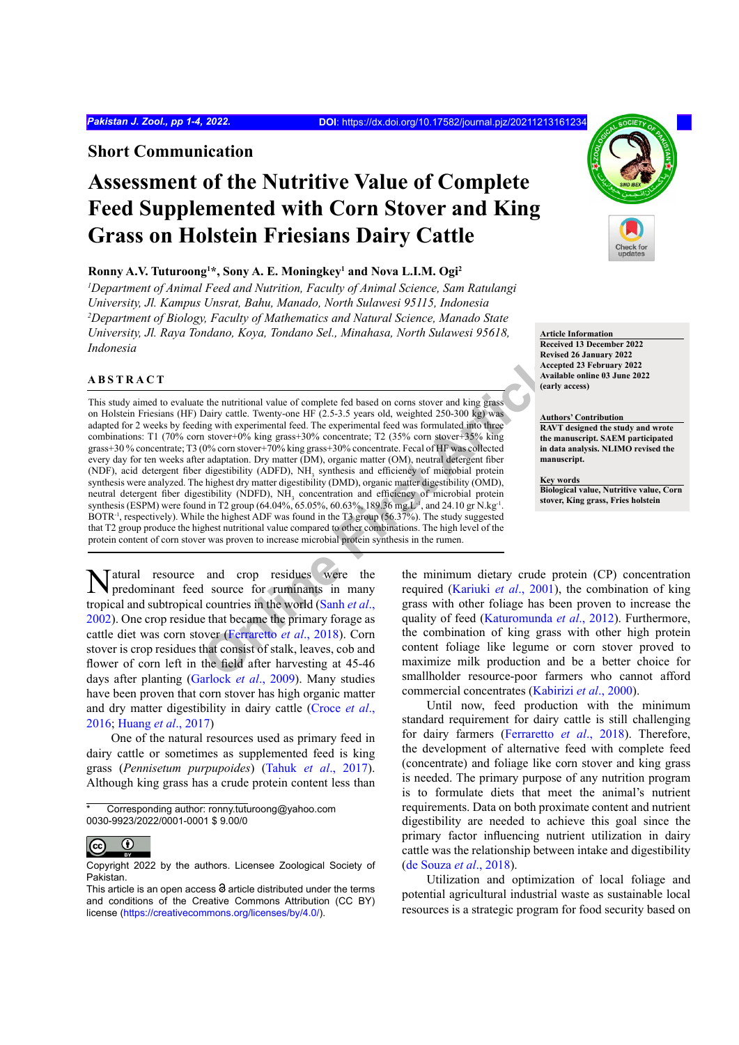**Short Communication**

# **Assessment of the Nutritive Value of Complete Feed Supplemented with Corn Stover and King Grass on Holstein Friesians Dairy Cattle**

## **Ronny A.V. Tuturoong1 \*, Sony A. E. Moningkey1 and Nova L.I.M. Ogi2**

<sup>1</sup>Department of Animal Feed and Nutrition, Faculty of Animal Science, Sam Ratulangi *University, Jl. Kampus Unsrat, Bahu, Manado, North Sulawesi 95115, Indonesia 2 Department of Biology, Faculty of Mathematics and Natural Science, Manado State University, Jl. Raya Tondano, Koya, Tondano Sel., Minahasa, North Sulawesi 95618, Indonesia*

## **ABSTRACT**

**Existe[n](#page-3-0)t**<br> **Existingly** the nutritional value of complete fed based on coms stover and king grass<br>
Dairy cattle. Twenty-one HF (2.5-3.5 years old, weighted 250-300 kg) was<br>
n stover+10% king grass+30% concentrate; T2 (35% This study aimed to evaluate the nutritional value of complete fed based on corns stover and king grass on Holstein Friesians (HF) Dairy cattle. Twenty-one HF (2.5-3.5 years old, weighted 250-300 kg) was adapted for 2 weeks by feeding with experimental feed. The experimental feed was formulated into three combinations: T1 (70% corn stover+0% king grass+30% concentrate; T2 (35% corn stover+35% king grass+30 % concentrate; T3 (0% corn stover+70% king grass+30% concentrate. Fecal of HF was collected every day for ten weeks after adaptation. Dry matter (DM), organic matter (OM), neutral detergent fiber (NDF), acid detergent fiber digestibility (ADFD), NH<sub>3</sub> synthesis and efficiency of microbial protein synthesis were analyzed. The highest dry matter digestibility (DMD), organic matter digestibility (OMD), neutral detergent fiber digestibility (NDFD), NH<sub>3</sub> concentration and efficiency of microbial protein synthesis (ESPM) were found in T2 group (64.04%, 65.05%, 60.63%, 189.36 mg.L<sup>-1</sup>, and 24.10 gr N.kg<sup>-1</sup>. BOTR<sup>-1</sup>, respectively). While the highest ADF was found in the T3 group (56.37%). The study suggested that T2 group produce the highest nutritional value compared to other combinations. The high level of the protein content of corn stover was proven to increase microbial protein synthesis in the rumen.

Natural resource and crop residues were the predominant feed source for ruminants in many tropical and subtropical countries in the world (Sanh *et al*., [2002\)](#page-3-0). One crop residue that became the primary forage as cattle diet was corn stover (Ferraretto *et al*., 2018). Corn stover is crop residues that consist of stalk, leaves, cob and flower of corn left in the field after harvesting at 45-46 days after planting (Garlock *et al*., 2009). Many studies have been proven that corn stover has high organic matter and dry matter digestibility in dairy cattle (Croce *et al*., 2016; [Huang](#page-3-3) *et al*., 2017)

One of the natural resources used as primary feed in dairy cattle or sometimes as supplemented feed is king grass (*Pennisetum purpupoides*) (Tahuk *et al*[., 2017](#page-3-4)). Although king grass has a crude protein content less than



Until now, feed production with the minimum standard requirement for dairy cattle is still challenging for dairy farmers ([Ferraretto](#page-3-1) *et al*., 2018). Therefore, the development of alternative feed with complete feed (concentrate) and foliage like corn stover and king grass is needed. The primary purpose of any nutrition program is to formulate diets that meet the animal's nutrient requirements. Data on both proximate content and nutrient digestibility are needed to achieve this goal since the primary factor influencing nutrient utilization in dairy cattle was the relationship between intake and digestibility [\(de Souza](#page-3-8) *et al*., 2018).

Utilization and optimization of local foliage and potential agricultural industrial waste as sustainable local resources is a strategic program for food security based on



**Article Information Received 13 December 2022 Revised 26 January 2022 Accepted 23 February 2022 Available online 03 June 2022 (early access)**

#### **Authors' Contribution**

**RAVT designed the study and wrote the manuscript. SAEM participated in data analysis. NLIMO revised the manuscript.** 

**Key words Biological value, Nutritive value, Corn stover, King grass, Fries holstein**

Corresponding author: ronny.tuturoong@yahoo.com 0030-9923/2022/0001-0001 \$ 9.00/0

 $\odot$  $(cc)$ 

Copyright 2022 by the authors. Licensee Zoological Society of Pakistan.

This article is an open access  $\Theta$  article distributed under the terms and conditions of the Creative Commons Attribution (CC BY) license (<https://creativecommons.org/licenses/by/4.0/>).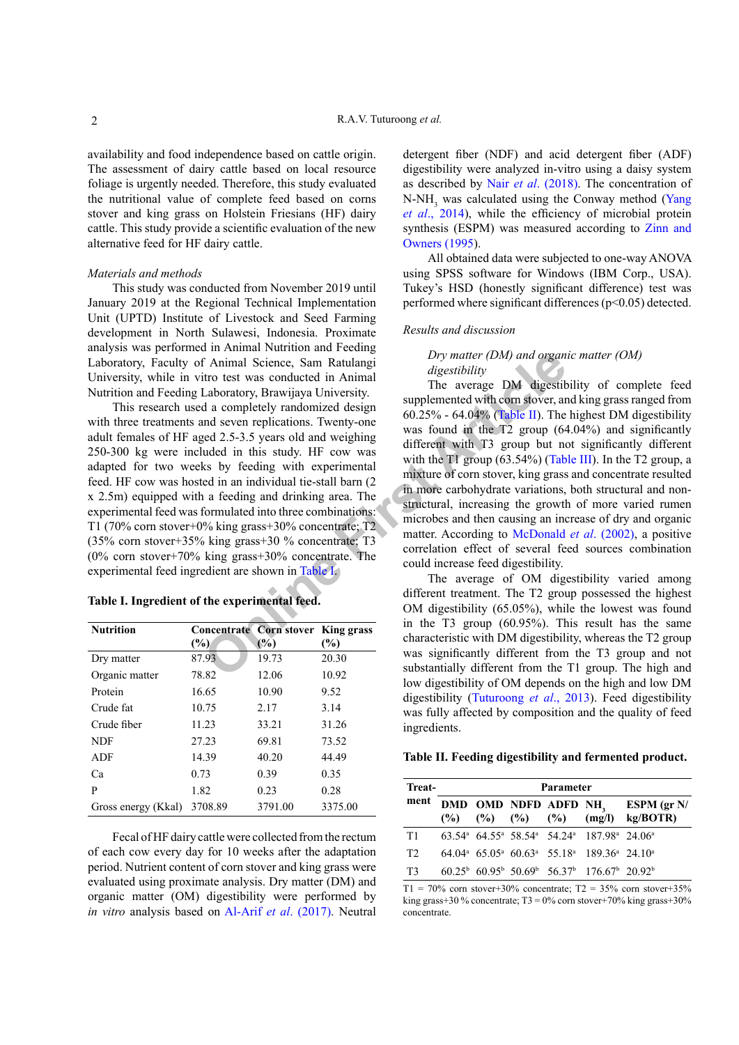availability and food independence based on cattle origin. The assessment of dairy cattle based on local resource foliage is urgently needed. Therefore, this study evaluated the nutritional value of complete feed based on corns stover and king grass on Holstein Friesians (HF) dairy cattle. This study provide a scientific evaluation of the new alternative feed for HF dairy cattle.

## *Materials and methods*

This study was conducted from November 2019 until January 2019 at the Regional Technical Implementation Unit (UPTD) Institute of Livestock and Seed Farming development in North Sulawesi, Indonesia. Proximate analysis was performed in Animal Nutrition and Feeding Laboratory, Faculty of Animal Science, Sam Ratulangi University, while in vitro test was conducted in Animal Nutrition and Feeding Laboratory, Brawijaya University.

Formulated in this study. Here the contract are the conducted in Animal Science, Sam Ratulangi digestibility<br>
Laboratory, Brawijaya University.<br>
In a completely randomized design<br>
a completely randomized design<br>
and seven This research used a completely randomized design with three treatments and seven replications. Twenty-one adult females of HF aged 2.5-3.5 years old and weighing 250-300 kg were included in this study. HF cow was adapted for two weeks by feeding with experimental feed. HF cow was hosted in an individual tie-stall barn (2 x 2.5m) equipped with a feeding and drinking area. The experimental feed was formulated into three combinations: T1 (70% corn stover+0% king grass+30% concentrate; T2 (35% corn stover+35% king grass+30 % concentrate; T3 (0% corn stover+70% king grass+30% concentrate. The experimental feed ingredient are shown in Table I.

## <span id="page-1-0"></span>**Table I. Ingredient of the experimental feed.**

| <b>Nutrition</b>    |         | <b>Concentrate Corn stover King grass</b> |         |
|---------------------|---------|-------------------------------------------|---------|
|                     | (%)     | (%)                                       | (%)     |
| Dry matter          | 87.93   | 19.73                                     | 20.30   |
| Organic matter      | 78.82   | 12.06                                     | 10.92   |
| Protein             | 16.65   | 10.90                                     | 9.52    |
| Crude fat           | 10.75   | 2.17                                      | 3.14    |
| Crude fiber         | 11.23   | 33.21                                     | 31.26   |
| <b>NDF</b>          | 27.23   | 69.81                                     | 73.52   |
| <b>ADF</b>          | 14.39   | 40.20                                     | 44.49   |
| Ca                  | 0.73    | 0.39                                      | 0.35    |
| P                   | 1.82    | 0.23                                      | 0.28    |
| Gross energy (Kkal) | 3708.89 | 3791.00                                   | 3375.00 |

Fecal of HF dairy cattle were collected from the rectum of each cow every day for 10 weeks after the adaptation period. Nutrient content of corn stover and king grass were evaluated using proximate analysis. Dry matter (DM) and organic matter (OM) digestibility were performed by *in vitro* analysis based on Al-Arif *et al*[. \(2017\).](#page-3-9) Neutral

detergent fiber (NDF) and acid detergent fiber (ADF) digestibility were analyzed in-vitro using a daisy system as described by Nair *et al*[. \(2018\).](#page-3-10) The concentration of  $N-NH<sub>3</sub>$  was calculated using the Conway method ([Yang](#page-3-11) *et al*[., 2014](#page-3-11)), while the efficiency of microbial protein synthesis (ESPM) was measured according to [Zinn and](#page-3-12) [Owners \(1995\)](#page-3-12).

All obtained data were subjected to one-way ANOVA using SPSS software for Windows (IBM Corp., USA). Tukey's HSD (honestly significant difference) test was performed where significant differences (p<0.05) detected.

#### *Results and discussion*

## *Dry matter (DM) and organic matter (OM) digestibility*

The average DM digestibility of complete feed supplemented with corn stover, and king grass ranged from 60.25% - 64.04% (Table II). The highest DM digestibility was found in the T2 group (64.04%) and significantly different with T3 group but not significantly different with the T1 group (63.54%) [\(Table III](#page-1-1)). In the T2 group, a mixture of corn stover, king grass and concentrate resulted in more carbohydrate variations, both structural and nonstructural, increasing the growth of more varied rumen microbes and then causing an increase of dry and organic matter. According to McDonald *et al*. (2002), a positive correlation effect of several feed sources combination could increase feed digestibility.

The average of OM digestibility varied among different treatment. The T2 group possessed the highest OM digestibility (65.05%), while the lowest was found in the T3 group (60.95%). This result has the same characteristic with DM digestibility, whereas the T2 group was significantly different from the T3 group and not substantially different from the T1 group. The high and low digestibility of OM depends on the high and low DM digestibility [\(Tuturoong](#page-3-14) *et al*., 2013). Feed digestibility was fully affected by composition and the quality of feed ingredients.

### <span id="page-1-1"></span>**Table II. Feeding digestibility and fermented product.**

| Treat-<br>ment | Parameter |  |  |  |                                                                                                                    |                                                                                                                                    |  |
|----------------|-----------|--|--|--|--------------------------------------------------------------------------------------------------------------------|------------------------------------------------------------------------------------------------------------------------------------|--|
|                |           |  |  |  |                                                                                                                    | DMD OMD NDFD ADFD NH <sub>3</sub> ESPM (gr N/<br>$(\frac{9}{6})$ $(\frac{9}{6})$ $(\frac{9}{6})$ $(\frac{9}{6})$ $(mg/l)$ kg/BOTR) |  |
| T1             |           |  |  |  | 63.54 <sup>a</sup> 64.55 <sup>a</sup> 58.54 <sup>a</sup> 54.24 <sup>a</sup> 187.98 <sup>a</sup> 24.06 <sup>a</sup> |                                                                                                                                    |  |
| T <sub>2</sub> |           |  |  |  | $64.04^a$ $65.05^a$ $60.63^a$ $55.18^a$ $189.36^a$ $24.10^a$                                                       |                                                                                                                                    |  |
| T3             |           |  |  |  | $60.25^{\rm b}$ 60.95 <sup>b</sup> 50.69 <sup>b</sup> 56.37 <sup>b</sup> 176.67 <sup>b</sup> 20.92 <sup>b</sup>    |                                                                                                                                    |  |

 $T1 = 70\%$  corn stover+30% concentrate;  $T2 = 35\%$  corn stover+35% king grass+30 % concentrate;  $T3 = 0$ % corn stover+70% king grass+30% concentrate.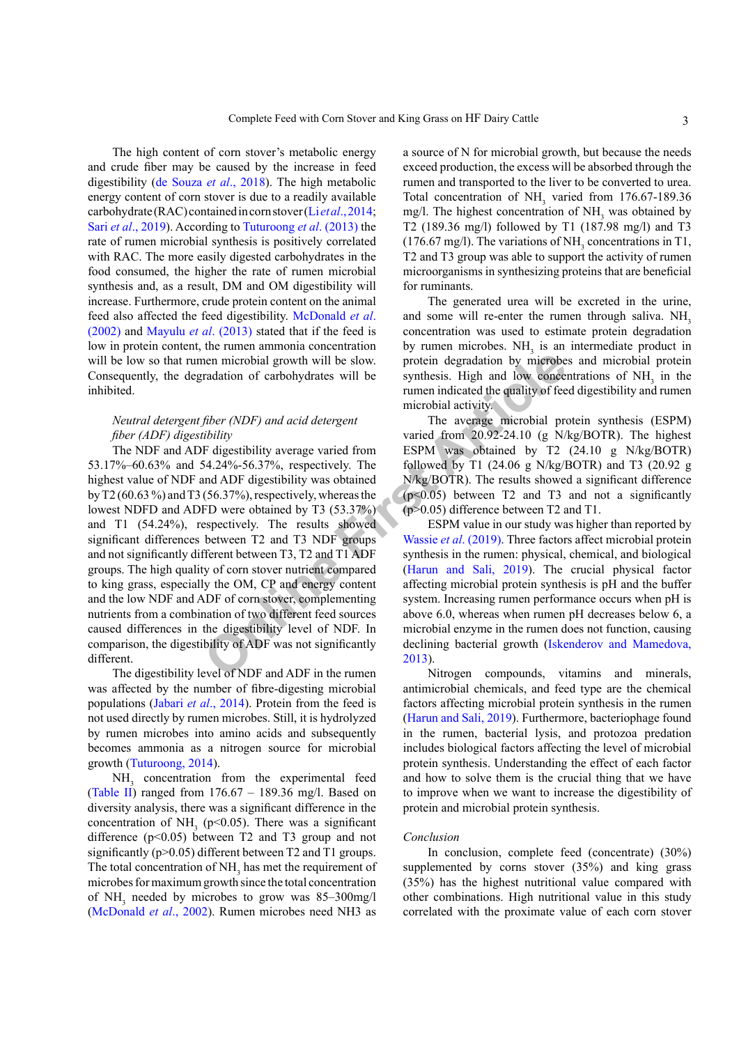The high content of corn stover's metabolic energy and crude fiber may be caused by the increase in feed digestibility [\(de Souza](#page-3-8) *et al*., 2018). The high metabolic energy content of corn stover is due to a readily available carbohydrate (RAC) contained in corn stover (Li *et al*[., 2014](#page-3-15); Sari *et al*[., 2019](#page-3-16)). According to [Tuturoong](#page-3-14) *et al*. (2013) the rate of rumen microbial synthesis is positively correlated with RAC. The more easily digested carbohydrates in the food consumed, the higher the rate of rumen microbial synthesis and, as a result, DM and OM digestibility will increase. Furthermore, crude protein content on the animal feed also affected the feed digestibility. [McDonald](#page-3-13) *et al*. [\(2002\)](#page-3-13) and [Mayulu](#page-3-17) *et al*. (2013) stated that if the feed is low in protein content, the rumen ammonia concentration will be low so that rumen microbial growth will be slow. Consequently, the degradation of carbohydrates will be inhibited.

## *Neutral detergent fiber (NDF) and acid detergent fiber (ADF) digestibility*

**EXECUTE THE SET ARTIC SET ARTIC SET ARTIC SET ARTIC SET AND FOR THE SET ARTIC SET ARTIC SET AND FOR AN INCREDIB THE SET ARTIC MORE THE THE RESEARCH THE RESEARCH THE RESEARCH THE RESEARCH THE RESEARCH THE RESEARCH THE SET** The NDF and ADF digestibility average varied from 53.17%–60.63% and 54.24%-56.37%, respectively. The highest value of NDF and ADF digestibility was obtained by T2 (60.63 %) and T3 (56.37%), respectively, whereas the lowest NDFD and ADFD were obtained by T3 (53.37%) and T1 (54.24%), respectively. The results showed significant differences between T2 and T3 NDF groups and not significantly different between T3, T2 and T1 ADF groups. The high quality of corn stover nutrient compared to king grass, especially the OM, CP and energy content and the low NDF and ADF of corn stover, complementing nutrients from a combination of two different feed sources caused differences in the digestibility level of NDF. In comparison, the digestibility of ADF was not significantly different.

The digestibility level of NDF and ADF in the rumen was affected by the number of fibre-digesting microbial populations (Jabari *et al*[., 2014](#page-3-18)). Protein from the feed is not used directly by rumen microbes. Still, it is hydrolyzed by rumen microbes into amino acids and subsequently becomes ammonia as a nitrogen source for microbial growth ([Tuturoong, 2014\)](#page-3-19).

NH<sub>3</sub> concentration from the experimental feed [\(Table II\)](#page-1-1) ranged from  $176.67 - 189.36$  mg/l. Based on diversity analysis, there was a significant difference in the concentration of  $NH<sub>3</sub>$  (p<0.05). There was a significant difference  $(p<0.05)$  between T2 and T3 group and not significantly (p>0.05) different between T2 and T1 groups. The total concentration of  $NH<sub>3</sub>$  has met the requirement of microbes for maximum growth since the total concentration of  $NH_3$  needed by microbes to grow was 85–300mg/l [\(McDonald](#page-3-13) *et al*., 2002). Rumen microbes need NH3 as

a source of N for microbial growth, but because the needs exceed production, the excess will be absorbed through the rumen and transported to the liver to be converted to urea. Total concentration of  $NH<sub>3</sub>$  varied from 176.67-189.36 mg/l. The highest concentration of  $NH<sub>3</sub>$  was obtained by T2 (189.36 mg/l) followed by T1 (187.98 mg/l) and T3  $(176.67 \text{ mg/l})$ . The variations of NH<sub>3</sub> concentrations in T1, T2 and T3 group was able to support the activity of rumen microorganisms in synthesizing proteins that are beneficial for ruminants.

The generated urea will be excreted in the urine, and some will re-enter the rumen through saliva.  $NH<sub>3</sub>$ concentration was used to estimate protein degradation by rumen microbes.  $NH<sub>3</sub>$  is an intermediate product in protein degradation by microbes and microbial protein synthesis. High and low concentrations of  $NH<sub>3</sub>$  in the rumen indicated the quality of feed digestibility and rumen microbial activity.

The average microbial protein synthesis (ESPM) varied from 20.92-24.10 (g N/kg/BOTR). The highest ESPM was obtained by T2 (24.10 g N/kg/BOTR) followed by T1 (24.06 g N/kg/BOTR) and T3 (20.92 g N/kg/BOTR). The results showed a significant difference  $(p<0.05)$  between T2 and T3 and not a significantly (p>0.05) difference between T2 and T1.

ESPM value in our study was higher than reported by Wassie *et al*. (2019). Three factors affect microbial protein synthesis in the rumen: physical, chemical, and biological (Harun and Sali, 2019). The crucial physical factor affecting microbial protein synthesis is pH and the buffer system. Increasing rumen performance occurs when pH is above 6.0, whereas when rumen pH decreases below 6, a microbial enzyme in the rumen does not function, causing declining bacterial growth ([Iskenderov and Mamedova,](#page-3-22) 2013).

Nitrogen compounds, vitamins and minerals, antimicrobial chemicals, and feed type are the chemical factors affecting microbial protein synthesis in the rumen [\(Harun and Sali, 2019\)](#page-3-21). Furthermore, bacteriophage found in the rumen, bacterial lysis, and protozoa predation includes biological factors affecting the level of microbial protein synthesis. Understanding the effect of each factor and how to solve them is the crucial thing that we have to improve when we want to increase the digestibility of protein and microbial protein synthesis.

#### *Conclusion*

In conclusion, complete feed (concentrate) (30%) supplemented by corns stover (35%) and king grass (35%) has the highest nutritional value compared with other combinations. High nutritional value in this study correlated with the proximate value of each corn stover